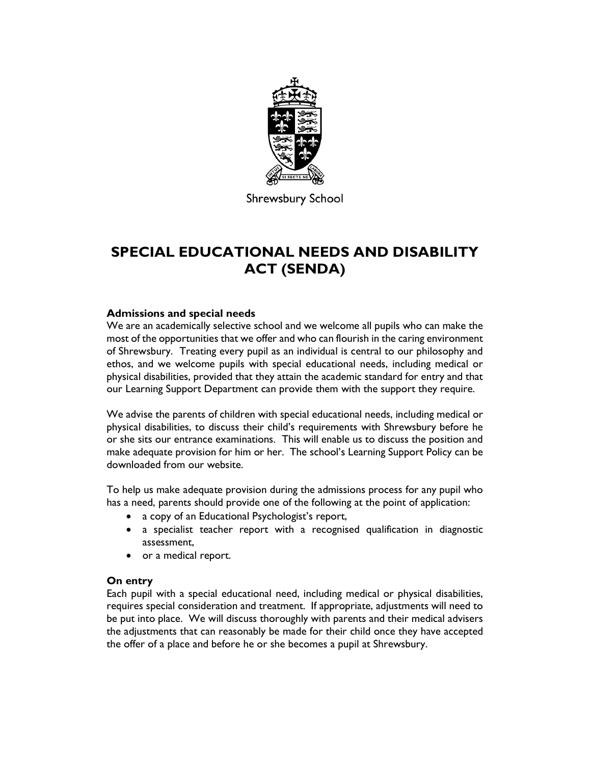

**Shrewsbury School** 

# SPECIAL EDUCATIONAL NEEDS AND DISABILITY ACT (SENDA)

## Admissions and special needs

We are an academically selective school and we welcome all pupils who can make the most of the opportunities that we offer and who can flourish in the caring environment of Shrewsbury. Treating every pupil as an individual is central to our philosophy and ethos, and we welcome pupils with special educational needs, including medical or physical disabilities, provided that they attain the academic standard for entry and that our Learning Support Department can provide them with the support they require.

We advise the parents of children with special educational needs, including medical or physical disabilities, to discuss their child's requirements with Shrewsbury before he or she sits our entrance examinations. This will enable us to discuss the position and make adequate provision for him or her. The school's Learning Support Policy can be downloaded from our website.

To help us make adequate provision during the admissions process for any pupil who has a need, parents should provide one of the following at the point of application:

- a copy of an Educational Psychologist's report,
- a specialist teacher report with a recognised qualification in diagnostic assessment,
- or a medical report.

#### On entry

Each pupil with a special educational need, including medical or physical disabilities, requires special consideration and treatment. If appropriate, adjustments will need to be put into place. We will discuss thoroughly with parents and their medical advisers the adjustments that can reasonably be made for their child once they have accepted the offer of a place and before he or she becomes a pupil at Shrewsbury.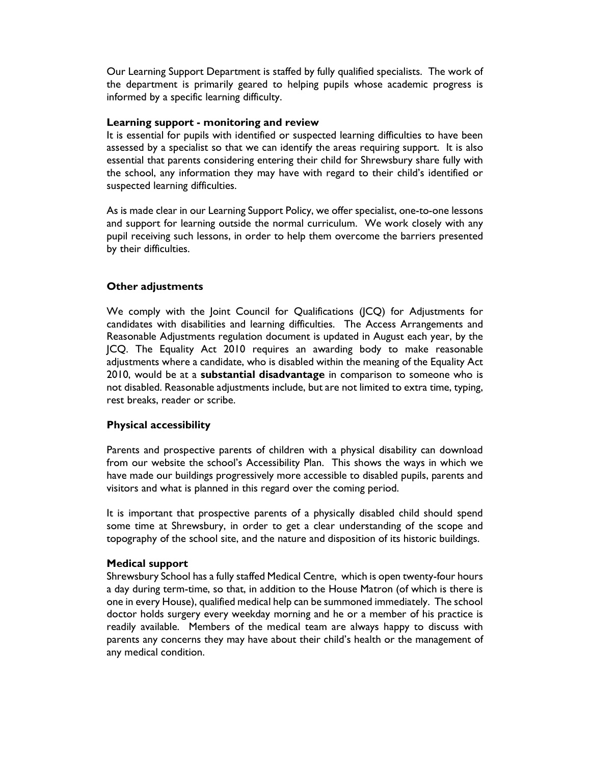Our Learning Support Department is staffed by fully qualified specialists. The work of the department is primarily geared to helping pupils whose academic progress is informed by a specific learning difficulty.

#### Learning support - monitoring and review

It is essential for pupils with identified or suspected learning difficulties to have been assessed by a specialist so that we can identify the areas requiring support. It is also essential that parents considering entering their child for Shrewsbury share fully with the school, any information they may have with regard to their child's identified or suspected learning difficulties.

As is made clear in our Learning Support Policy, we offer specialist, one-to-one lessons and support for learning outside the normal curriculum. We work closely with any pupil receiving such lessons, in order to help them overcome the barriers presented by their difficulties.

#### Other adjustments

We comply with the Joint Council for Qualifications (JCQ) for Adjustments for candidates with disabilities and learning difficulties. The Access Arrangements and Reasonable Adjustments regulation document is updated in August each year, by the JCQ. The Equality Act 2010 requires an awarding body to make reasonable adjustments where a candidate, who is disabled within the meaning of the Equality Act 2010, would be at a substantial disadvantage in comparison to someone who is not disabled. Reasonable adjustments include, but are not limited to extra time, typing, rest breaks, reader or scribe.

#### Physical accessibility

Parents and prospective parents of children with a physical disability can download from our website the school's Accessibility Plan. This shows the ways in which we have made our buildings progressively more accessible to disabled pupils, parents and visitors and what is planned in this regard over the coming period.

It is important that prospective parents of a physically disabled child should spend some time at Shrewsbury, in order to get a clear understanding of the scope and topography of the school site, and the nature and disposition of its historic buildings.

#### Medical support

Shrewsbury School has a fully staffed Medical Centre, which is open twenty-four hours a day during term-time, so that, in addition to the House Matron (of which is there is one in every House), qualified medical help can be summoned immediately. The school doctor holds surgery every weekday morning and he or a member of his practice is readily available. Members of the medical team are always happy to discuss with parents any concerns they may have about their child's health or the management of any medical condition.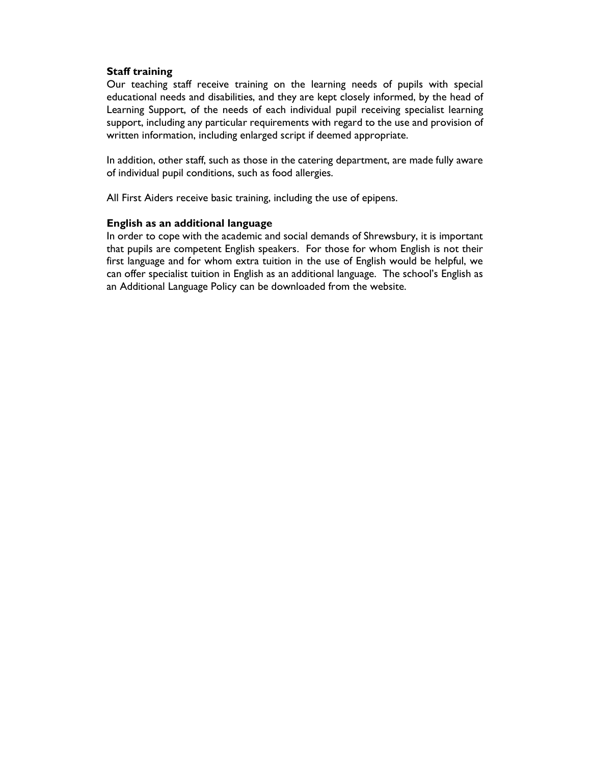### Staff training

Our teaching staff receive training on the learning needs of pupils with special educational needs and disabilities, and they are kept closely informed, by the head of Learning Support, of the needs of each individual pupil receiving specialist learning support, including any particular requirements with regard to the use and provision of written information, including enlarged script if deemed appropriate.

In addition, other staff, such as those in the catering department, are made fully aware of individual pupil conditions, such as food allergies.

All First Aiders receive basic training, including the use of epipens.

#### English as an additional language

In order to cope with the academic and social demands of Shrewsbury, it is important that pupils are competent English speakers. For those for whom English is not their first language and for whom extra tuition in the use of English would be helpful, we can offer specialist tuition in English as an additional language. The school's English as an Additional Language Policy can be downloaded from the website.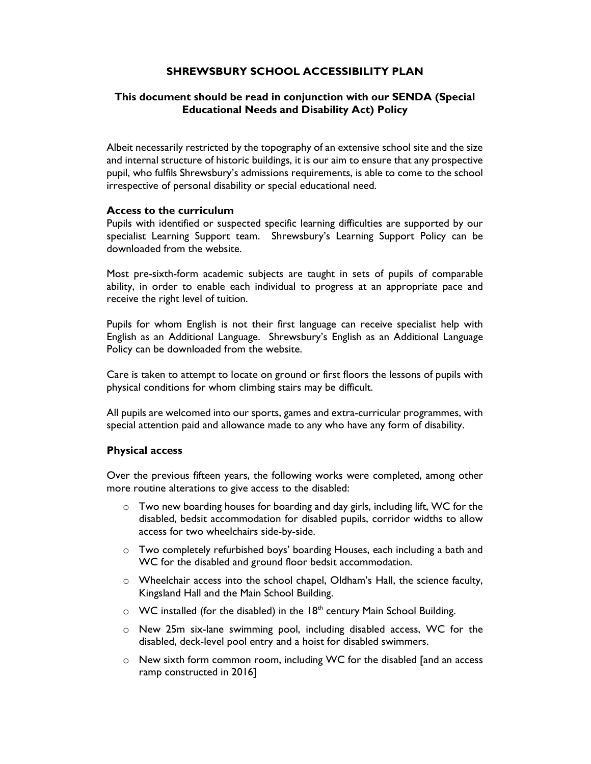# SHREWSBURY SCHOOL ACCESSIBILITY PLAN

## This document should be read in conjunction with our SENDA (Special Educational Needs and Disability Act) Policy

Albeit necessarily restricted by the topography of an extensive school site and the size and internal structure of historic buildings, it is our aim to ensure that any prospective pupil, who fulfils Shrewsbury's admissions requirements, is able to come to the school irrespective of personal disability or special educational need.

#### Access to the curriculum

Pupils with identified or suspected specific learning difficulties are supported by our specialist Learning Support team. Shrewsbury's Learning Support Policy can be downloaded from the website.

Most pre-sixth-form academic subjects are taught in sets of pupils of comparable ability, in order to enable each individual to progress at an appropriate pace and receive the right level of tuition.

Pupils for whom English is not their first language can receive specialist help with English as an Additional Language. Shrewsbury's English as an Additional Language Policy can be downloaded from the website.

Care is taken to attempt to locate on ground or first floors the lessons of pupils with physical conditions for whom climbing stairs may be difficult.

All pupils are welcomed into our sports, games and extra-curricular programmes, with special attention paid and allowance made to any who have any form of disability.

#### Physical access

Over the previous fifteen years, the following works were completed, among other more routine alterations to give access to the disabled:

- o Two new boarding houses for boarding and day girls, including lift, WC for the disabled, bedsit accommodation for disabled pupils, corridor widths to allow access for two wheelchairs side-by-side.
- o Two completely refurbished boys' boarding Houses, each including a bath and WC for the disabled and ground floor bedsit accommodation.
- o Wheelchair access into the school chapel, Oldham's Hall, the science faculty, Kingsland Hall and the Main School Building.
- $\circ$  WC installed (for the disabled) in the 18<sup>th</sup> century Main School Building.
- o New 25m six-lane swimming pool, including disabled access, WC for the disabled, deck-level pool entry and a hoist for disabled swimmers.
- o New sixth form common room, including WC for the disabled [and an access ramp constructed in 2016]